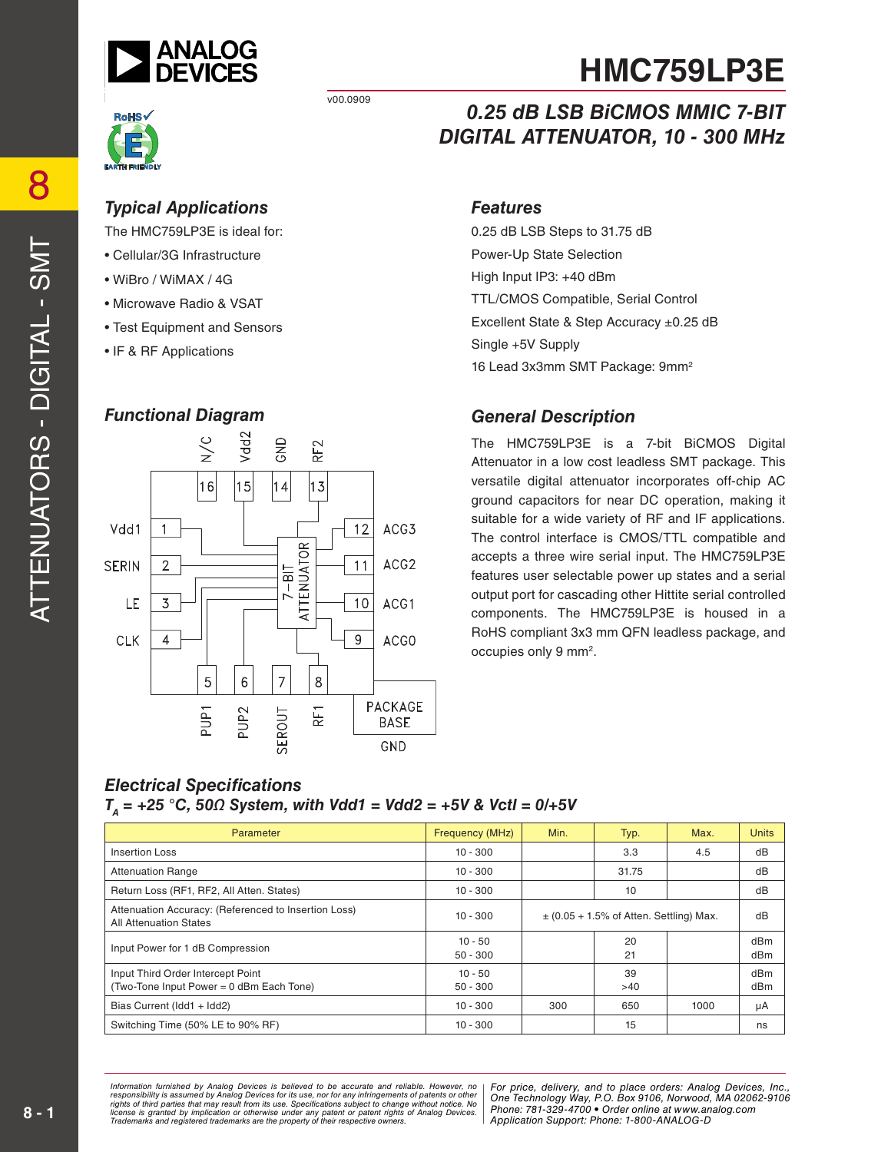

v00.0909



#### *Typical Applications Features*

The HMC759LP3E is ideal for:

- Cellular/3G Infrastructure
- WiBro / WiMAX / 4G
- Microwave Radio & VSAT
- Test Equipment and Sensors
- IF & RF Applications

#### *Functional Diagram*



## *0.25 dB LSB BiCMOS MMIC 7-BIT DIGITAL ATTENUATOR, 10 - 300 MHz*

0.25 dB LSB Steps to 31.75 dB Power-Up State Selection High Input IP3: +40 dBm TTL/CMOS Compatible, Serial Control Excellent State & Step Accuracy ±0.25 dB Single +5V Supply 16 Lead 3x3mm SMT Package: 9mm2

#### *General Description*

The HMC759LP3E is a 7-bit BiCMOS Digital Attenuator in a low cost leadless SMT package. This versatile digital attenuator incorporates off-chip AC ground capacitors for near DC operation, making it suitable for a wide variety of RF and IF applications. The control interface is CMOS/TTL compatible and accepts a three wire serial input. The HMC759LP3E features user selectable power up states and a serial output port for cascading other Hittite serial controlled components. The HMC759LP3E is housed in a RoHS compliant 3x3 mm QFN leadless package, and occupies only 9 mm2.

#### *Electrical Specifications TA = +25 °C, 50Ω System, with Vdd1 = Vdd2 = +5V & Vctl = 0/+5V*

| Parameter                                                                             | <b>Frequency (MHz)</b>  | Min.                                        | Typ.      | Max. | <b>Units</b> |
|---------------------------------------------------------------------------------------|-------------------------|---------------------------------------------|-----------|------|--------------|
| Insertion Loss                                                                        | $10 - 300$              |                                             | 3.3       | 4.5  | dB           |
| <b>Attenuation Range</b>                                                              | $10 - 300$              |                                             | 31.75     |      | dB           |
| Return Loss (RF1, RF2, All Atten. States)<br>$10 - 300$<br>10                         |                         |                                             | dB        |      |              |
| Attenuation Accuracy: (Referenced to Insertion Loss)<br><b>All Attenuation States</b> | $10 - 300$              | $\pm$ (0.05 + 1.5% of Atten. Settling) Max. |           | dB   |              |
| Input Power for 1 dB Compression                                                      | $10 - 50$<br>$50 - 300$ |                                             | 20<br>21  |      | dBm<br>dBm   |
| Input Third Order Intercept Point<br>(Two-Tone Input Power = 0 dBm Each Tone)         | 10 - 50<br>$50 - 300$   |                                             | 39<br>>40 |      | dBm<br>dBm   |
| Bias Current (Idd1 + Idd2)                                                            | $10 - 300$              | 300                                         | 650       | 1000 | μA           |
| Switching Time (50% LE to 90% RF)                                                     | $10 - 300$              |                                             | 15        |      | ns           |

*For primation intimulated by Analog Devices is believed to be accurate and relations, represented and the place orders: And to place orders: Analog DeVices, Analog DeVices, Analog DeVices, Analog Devices, Analog Devices, Phone: Alt from its use. Specifications subject to change without notice. No***<br>cation or otherwise under any patent or patent rights of Analon Devices Phone: 781-329-4700 • Order online at w** are the property of their respective owners. **Application Support: Phone: 1-**8 *Information furnished by Analog Devices is believed to be accurate and reliable. However, no*  responsibility is assumed by Analog Devices for its use, nor for any infringements of patents or other<br>rights of third parties that may result from its use. Specifications subject to change without notice. No<br>license is gr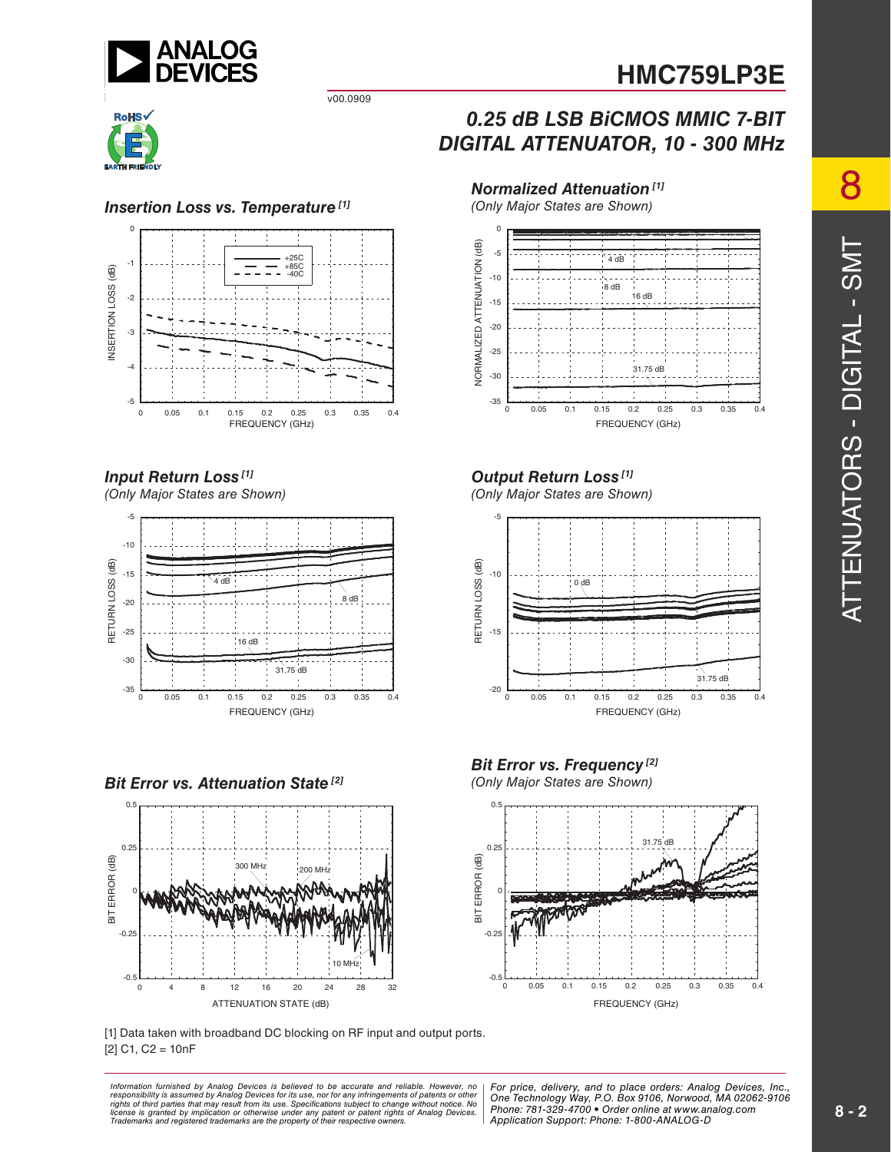

v00.0909



#### **Insertion Loss vs. Temperature**<sup>[1]</sup>



#### *Input Return Loss [1]*

*(Only Major States are Shown)*



*Bit Error vs. Attenuation State<sup>[2]</sup>* 



[1] Data taken with broadband DC blocking on RF input and output ports.  $[2]$  C1, C2 = 10nF

ormation furnished by Analog Devices is believed to be accurate and reliable. However, no | For price, delivery, and to place orders: Analog Devices, Inc.,<br>ponsibility is assumed by Analog Devices for its use, not for any *Phone: Alt from its use. Specifications subject to change without notice. No***<br>cation or otherwise under any patent or patent rights of Analon Devices Phone: 781-329-4700 • Order online at w** are the property of their respective owners. **Application Support: Phone: 1-**8 *Information furnished by Analog Devices is believed to be accurate and reliable. However, no*  responsibility is assumed by Analog Devices for its use, nor for any infringements of patents or other<br>rights of third parties that may result from its use. Specifications subject to change without notice. No<br>license is gr

### *0.25 dB LSB BiCMOS MMIC 7-BIT DIGITAL ATTENUATOR, 10 - 300 MHz*



### *Output Return Loss [1]*

*(Only Major States are Shown)*



*Bit Error vs. Frequency*<sup>[2]</sup> (Only Major States are Shown)



*Phone: 781-329-4700 • Order online at www.analog.com Application Support: Phone: 1-800-ANALOG-D*

8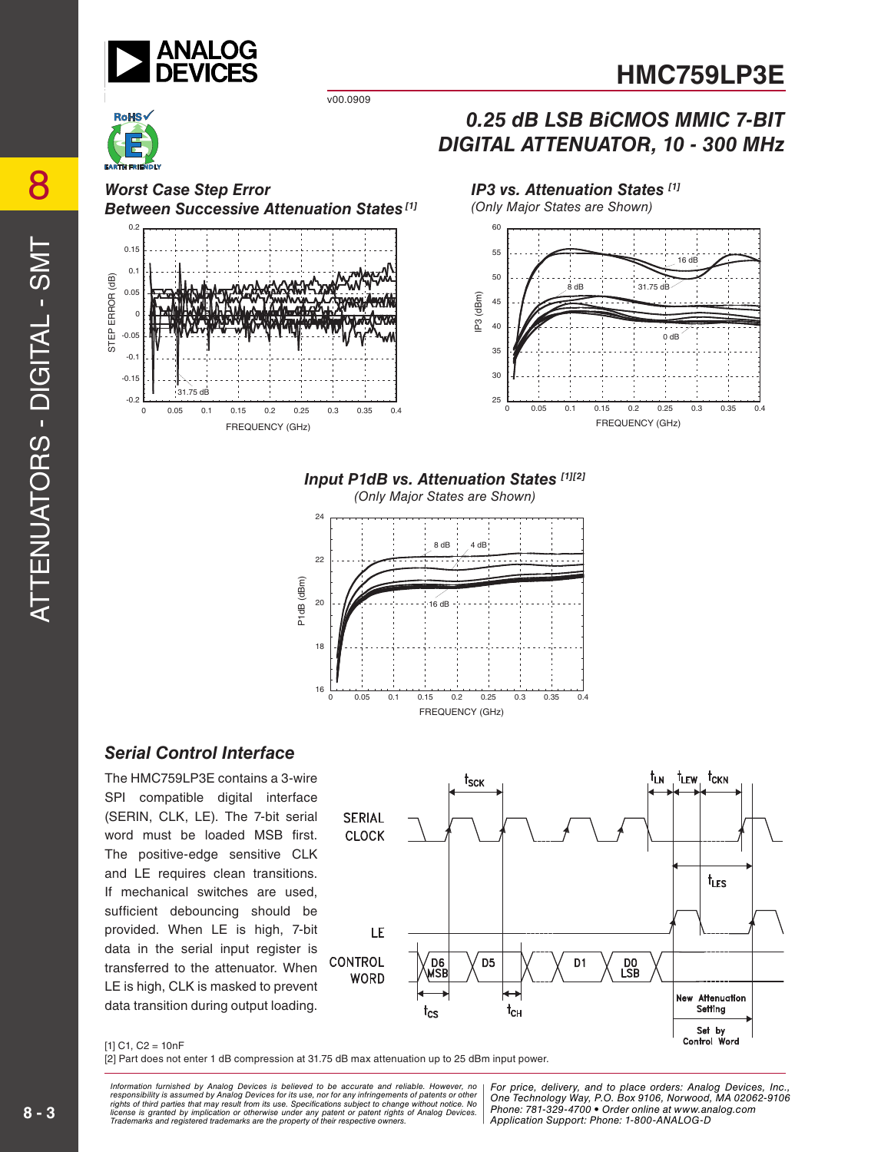

v00.0909

*Worst Case Step Error Between Successive Attenuation States [1]*



#### *IP3 vs. Attenuation States [1]*



*0.25 dB LSB BiCMOS MMIC 7-BIT DIGITAL ATTENUATOR, 10 - 300 MHz*

#### *Input P1dB vs. Attenuation States [1][2]*

*(Only Major States are Shown)*



#### *Serial Control Interface*

The HMC759LP3E contains a 3-wire SPI compatible digital interface (SERIN, CLK, LE). The 7-bit serial word must be loaded MSB first. The positive-edge sensitive CLK and LE requires clean transitions. If mechanical switches are used, sufficient debouncing should be provided. When LE is high, 7-bit data in the serial input register is transferred to the attenuator. When LE is high, CLK is masked to prevent data transition during output loading.



#### $[1]$  C1, C2 = 10nF

[2] Part does not enter 1 dB compression at 31.75 dB max attenuation up to 25 dBm input power.

*For primation intimulated by Analog Devices is believed to be accurate and relations, represented and the place orders: And to place orders: Analog DeVices, Analog DeVices, Analog DeVices, Analog Devices, Analog Devices, Phone: Alt from its use. Specifications subject to change without notice. No***<br>cation or otherwise under any patent or patent rights of Analon Devices Phone: 781-329-4700 • Order online at w** are the property of their respective owners. **Application Support: Phone: 1-**8 *Information furnished by Analog Devices is believed to be accurate and reliable. However, no*  responsibility is assumed by Analog Devices for its use, nor for any infringements of patents or other<br>rights of third parties that may result from its use. Specifications subject to change without notice. No<br>license is gr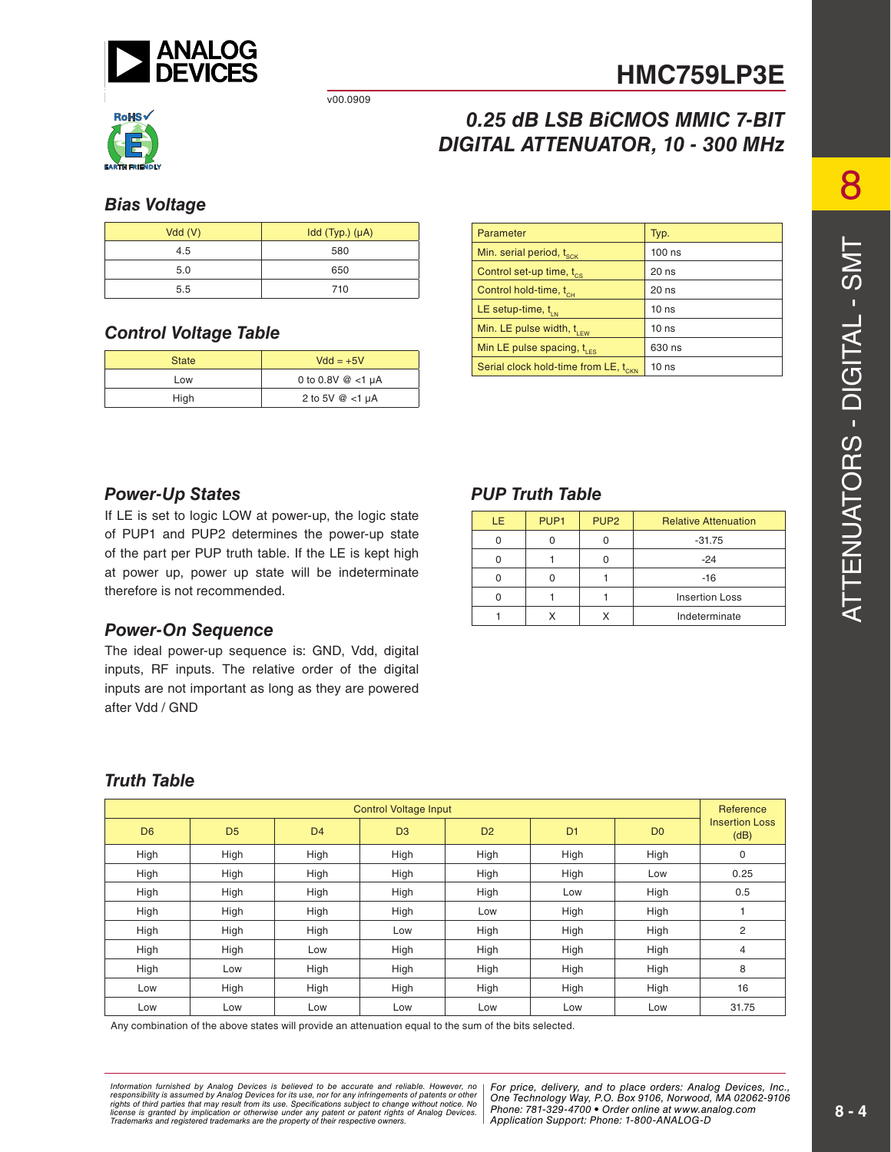

v00.0909



## *0.25 dB LSB BiCMOS MMIC 7-BIT DIGITAL ATTENUATOR, 10 - 300 MHz*

#### *Bias Voltage*

| Vdd(V) | $Idd$ (Typ.) $(\mu A)$ |
|--------|------------------------|
| 4.5    | 580                    |
| 5.0    | 650                    |
| 5.5    | 710                    |

#### *Control Voltage Table*

| <b>State</b> | $Vdd = +5V$            |  |
|--------------|------------------------|--|
| Low          | 0 to 0.8V $@$ <1 µA    |  |
| High         | 2 to 5V $@$ <1 $\mu$ A |  |

| Parameter                                        | Typ.             |
|--------------------------------------------------|------------------|
| Min. serial period, t <sub>sck</sub>             | $100$ ns         |
| Control set-up time, t <sub>cs</sub>             | 20 ns            |
| Control hold-time, t <sub>cH</sub>               | $20$ ns          |
| LE setup-time, $t_{\text{in}}$                   | 10 <sub>ns</sub> |
| Min. LE pulse width, $t_{\text{rev}}$            | 10 <sub>ns</sub> |
| Min LE pulse spacing, $t_{\text{res}}$           | 630 ns           |
| Serial clock hold-time from LE, t <sub>CKN</sub> | 10 <sub>ns</sub> |

#### *Power-Up States*

If LE is set to logic LOW at power-up, the logic state of PUP1 and PUP2 determines the power-up state of the part per PUP truth table. If the LE is kept high at power up, power up state will be indeterminate therefore is not recommended.

#### *Power-On Sequence*

The ideal power-up sequence is: GND, Vdd, digital inputs, RF inputs. The relative order of the digital inputs are not important as long as they are powered after Vdd / GND

#### *PUP Truth Table*

| LE. | PUP <sub>1</sub> | PUP <sub>2</sub> | <b>Relative Attenuation</b> |  |
|-----|------------------|------------------|-----------------------------|--|
|     |                  |                  | $-31.75$                    |  |
|     |                  |                  | $-24$                       |  |
|     |                  |                  | $-16$                       |  |
|     |                  |                  | <b>Insertion Loss</b>       |  |
|     |                  |                  | Indeterminate               |  |

#### *Truth Table*

| <b>Control Voltage Input</b> |                |                |                |                | Reference      |                |                               |
|------------------------------|----------------|----------------|----------------|----------------|----------------|----------------|-------------------------------|
| D <sub>6</sub>               | D <sub>5</sub> | D <sub>4</sub> | D <sub>3</sub> | D <sub>2</sub> | D <sub>1</sub> | D <sub>0</sub> | <b>Insertion Loss</b><br>(dB) |
| High                         | High           | High           | High           | High           | High           | High           | 0                             |
| High                         | High           | High           | High           | High           | High           | Low            | 0.25                          |
| High                         | High           | High           | High           | High           | Low            | High           | 0.5                           |
| High                         | High           | High           | High           | Low            | High           | High           |                               |
| High                         | High           | High           | Low            | High           | High           | High           | 2                             |
| High                         | High           | Low            | High           | High           | High           | High           | 4                             |
| High                         | Low            | High           | High           | High           | High           | High           | 8                             |
| Low                          | High           | High           | High           | High           | High           | High           | 16                            |
| Low                          | Low            | Low            | Low            | Low            | Low            | Low            | 31.75                         |

Any combination of the above states will provide an attenuation equal to the sum of the bits selected.

*For primation intimulated by Analog Devices is believed to be accurate and relations, represented and the place orders: And to place orders: Analog DeVices, Analog DeVices, Analog DeVices, Analog Devices, Analog Devices, Phone: Alt from its use. Specifications subject to change without notice. No***<br>cation or otherwise under any patent or patent rights of Analon Devices Phone: 781-329-4700 • Order online at w** are the property of their respective owners. **Application Support: Phone: 1-**8 *Information furnished by Analog Devices is believed to be accurate and reliable. However, no*  responsibility is assumed by Analog Devices for its use, nor for any infringements of patents or other<br>rights of third parties that may result from its use. Specifications subject to change without notice. No<br>license is gr

*For price, delivery, and to place orders: Analog Devices, Inc., One Technology Way, P.O. Box 9106, Norwood, MA 02062-9106 Phone: 781-329-4700 • Order online at www.analog.com Application Support: Phone: 1-800-ANALOG-D*

8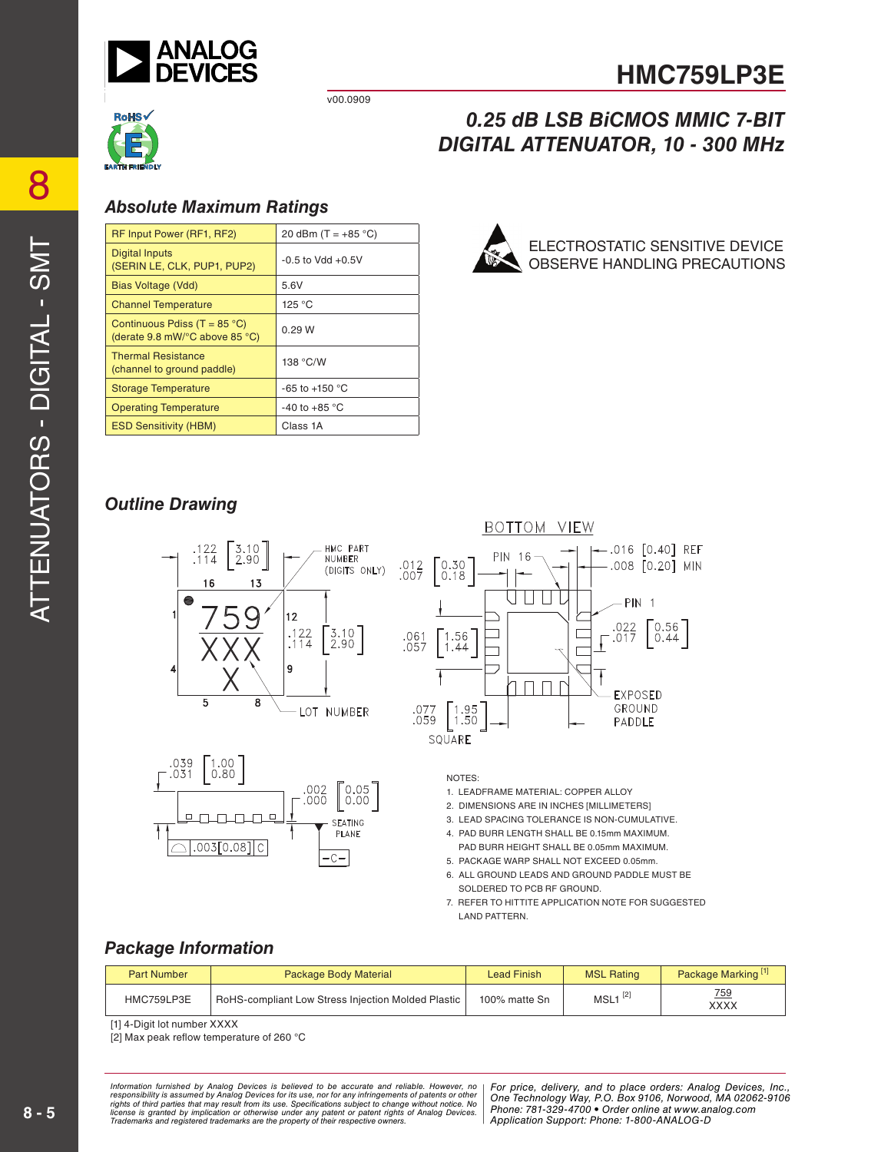

v00.0909



#### *0.25 dB LSB BiCMOS MMIC 7-BIT DIGITAL ATTENUATOR, 10 - 300 MHz*

#### *Absolute Maximum Ratings*

| RF Input Power (RF1, RF2)                                                                  | 20 dBm $(T = +85 °C)$    |
|--------------------------------------------------------------------------------------------|--------------------------|
| Digital Inputs<br>(SERIN LE, CLK, PUP1, PUP2)                                              | $-0.5$ to Vdd $+0.5V$    |
| Bias Voltage (Vdd)                                                                         | 5.6V                     |
| <b>Channel Temperature</b>                                                                 | 125 °C                   |
| Continuous Pdiss (T = $85^{\circ}$ C)<br>(derate 9.8 mW/ $\degree$ C above 85 $\degree$ C) | 0.29 W                   |
| <b>Thermal Resistance</b><br>(channel to ground paddle)                                    | 138 °C/W                 |
| <b>Storage Temperature</b>                                                                 | -65 to +150 $^{\circ}$ C |
| <b>Operating Temperature</b>                                                               | -40 to +85 $^{\circ}$ C  |
| <b>ESD Sensitivity (HBM)</b>                                                               | Class 1A                 |



#### *Outline Drawing*







NOTES:

- 1. LEADFRAME MATERIAL: COPPER ALLOY
- 2. DIMENSIONS ARE IN INCHES [MILLIMETERS]
- 3. LEAD SPACING TOLERANCE IS NON -CUMULATIVE.
- 4. PAD BURR LENGTH SHALL BE 0.15mm MAXIMUM. PAD BURR HEIGHT SHALL BE 0.05mm MAXIMUM.
- 5. PACKAGE WARP SHALL NOT EXCEED 0.05mm. 6. ALL GROUND LEADS AND GROUND PADDLE MUST BE SOLDERED TO PCB RF GROUND.
- 7. REFER TO HITTITE APPLICATION NOTE FOR SUGGESTED LAND PATTERN.

#### *Package Information*

| <b>Part Number</b> | <b>Package Body Material</b>                                      | <b>Lead Finish</b> | <b>MSL Rating</b>     | Package Marking <sup>[1]</sup> |
|--------------------|-------------------------------------------------------------------|--------------------|-----------------------|--------------------------------|
| HMC759LP3E         | <sup>1</sup> RoHS-compliant Low Stress Injection Molded Plastic I | 100% matte Sn      | $MSL1$ <sup>[2]</sup> | 759<br>XXXX                    |

[1] 4-Digit lot number XXXX

[2] Max peak reflow temperature of 260 °C

*For primation intimulated by Analog Devices is believed to be accurate and relations, represented and the place orders: And to place orders: Analog DeVices, Analog DeVices, Analog DeVices, Analog Devices, Analog Devices, Phone: Alt from its use. Specifications subject to change without notice. No***<br>cation or otherwise under any patent or patent rights of Analon Devices Phone: 781-329-4700 • Order online at w** are the property of their respective owners. **Application Support: Phone: 1-**8 *Information furnished by Analog Devices is believed to be accurate and reliable. However, no*  responsibility is assumed by Analog Devices for its use, nor for any infringements of patents or other<br>rights of third parties that may result from its use. Specifications subject to change without notice. No<br>license is gr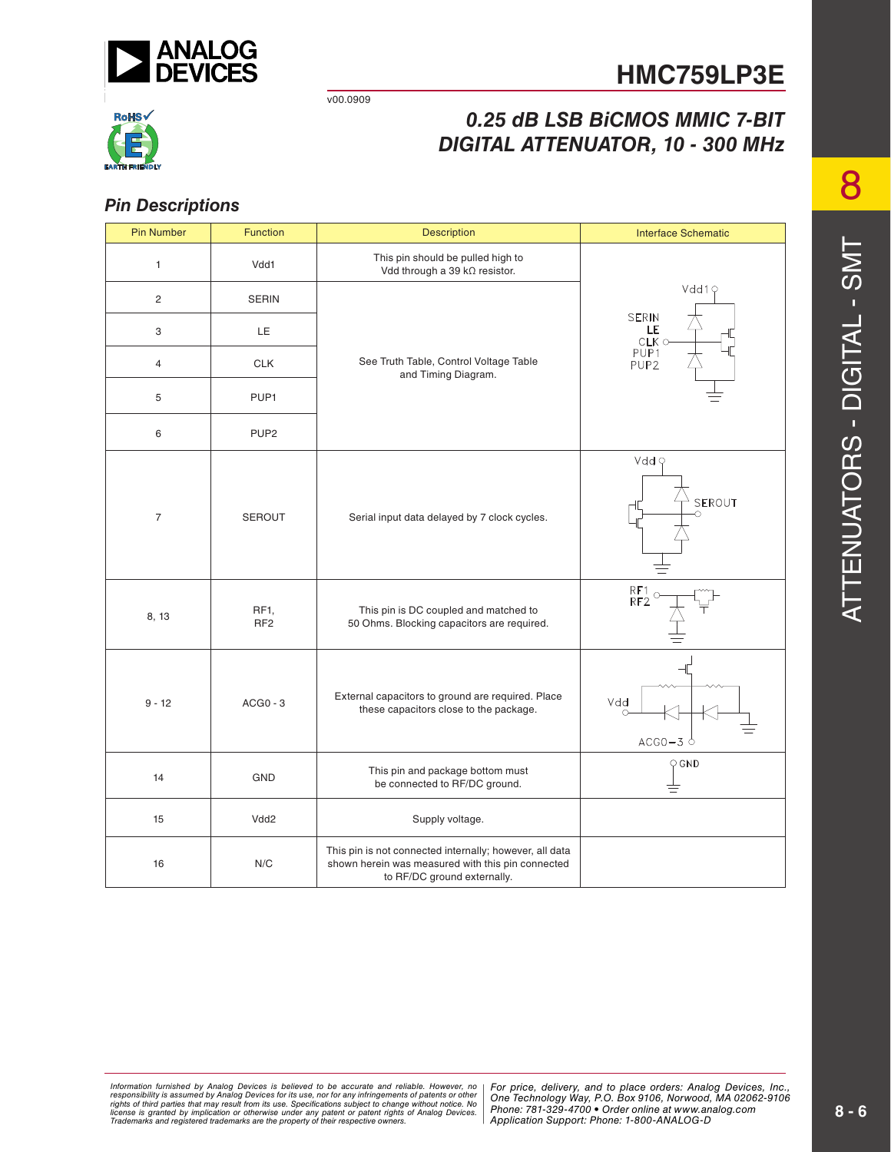

v00.0909

# RoHS√

## *0.25 dB LSB BiCMOS MMIC 7-BIT DIGITAL ATTENUATOR, 10 - 300 MHz*

#### *Pin Descriptions*

| <b>Pin Number</b> | <b>Function</b>                      | <b>Description</b>                                                                                                                          | <b>Interface Schematic</b>                    |  |
|-------------------|--------------------------------------|---------------------------------------------------------------------------------------------------------------------------------------------|-----------------------------------------------|--|
| 1                 | Vdd1                                 | This pin should be pulled high to<br>Vdd through a 39 kΩ resistor.                                                                          |                                               |  |
| 2                 | <b>SERIN</b>                         |                                                                                                                                             | Vdd19                                         |  |
| 3                 | LE                                   |                                                                                                                                             | <b>SERIN</b><br>LE<br>$CLK$ $\circ$           |  |
| 4                 | <b>CLK</b>                           | See Truth Table, Control Voltage Table<br>and Timing Diagram.                                                                               | PUP1<br>PUP <sub>2</sub>                      |  |
| 5                 | PUP1                                 |                                                                                                                                             |                                               |  |
| 6                 | PUP <sub>2</sub>                     |                                                                                                                                             |                                               |  |
| $\overline{7}$    | <b>SEROUT</b>                        | Serial input data delayed by 7 clock cycles.                                                                                                | Vdd Q<br>SEROUT<br>∩                          |  |
| 8, 13             | RF <sub>1</sub> ,<br>RF <sub>2</sub> | This pin is DC coupled and matched to<br>50 Ohms. Blocking capacitors are required.                                                         | RF1<br>RF2                                    |  |
| $9 - 12$          | $ACGO - 3$                           | External capacitors to ground are required. Place<br>these capacitors close to the package.                                                 | Vdd<br>$ACGO-3$ <sup><math>\circ</math></sup> |  |
| 14                | GND                                  | This pin and package bottom must<br>be connected to RF/DC ground.                                                                           | $Q$ GND<br>吉                                  |  |
| 15                | Vdd2                                 | Supply voltage.                                                                                                                             |                                               |  |
| 16                | N/C                                  | This pin is not connected internally; however, all data<br>shown herein was measured with this pin connected<br>to RF/DC ground externally. |                                               |  |

*For primation intimulated by Analog Devices is believed to be accurate and relations, represented and the place orders: And to place orders: Analog DeVices, Analog DeVices, Analog DeVices, Analog Devices, Analog Devices, Phone: Alt from its use. Specifications subject to change without notice. No***<br>cation or otherwise under any patent or patent rights of Analon Devices Phone: 781-329-4700 • Order online at w** are the property of their respective owners. **Application Support: Phone: 1-**8 Information furnished by Analog Devices is believed to be accurate and reliable. However, no<br>responsibility is assumed by Analog Devices for its use, nor for any infringements of patents or other<br>rights of third parties th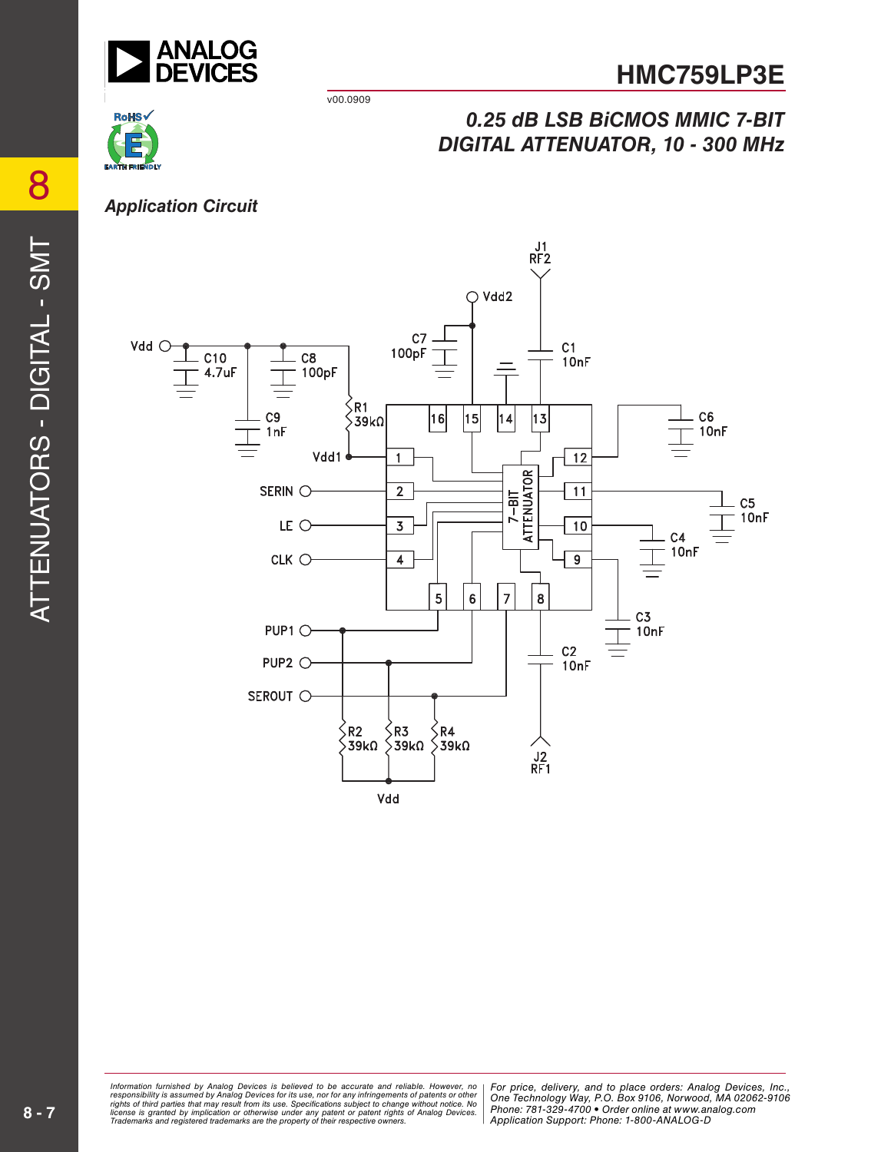

*0.25 dB LSB BiCMOS MMIC 7-BIT DIGITAL ATTENUATOR, 10 - 300 MHz*

v00.0909

# **RoHS**

#### *Application Circuit*



ormation furnished by Analog Devices is believed to be accurate and reliable. However, no | For price, delivery, and to place orders: Analog Devices, Inc.,<br>ponsibility is assumed by Analog Devices for its use, nor for any *Phone: Alt from its use. Specifications subject to change without notice. No***<br>cation or otherwise under any patent or patent rights of Analon Devices Phone: 781-329-4700 • Order online at w** are the property of their respective owners. **Application Support: Phone: 1-**8 *Information furnished by Analog Devices is believed to be accurate and reliable. However, no*  responsibility is assumed by Analog Devices for its use, nor for any infringements of patents or other<br>rights of third parties that may result from its use. Specifications subject to change without notice. No<br>license is gr